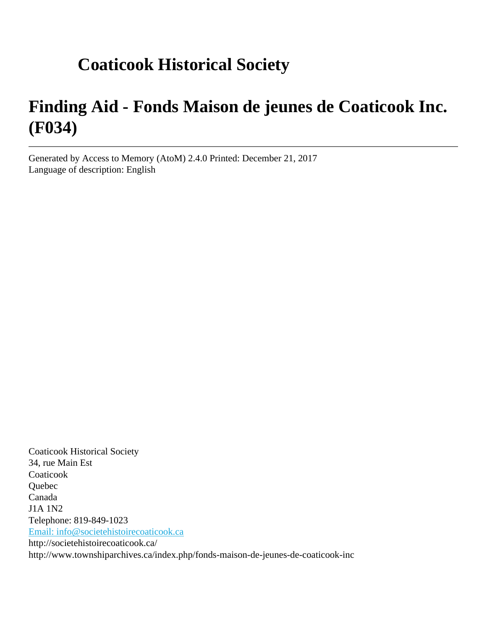# **Coaticook Historical Society**

# **Finding Aid - Fonds Maison de jeunes de Coaticook Inc. (F034)**

Generated by Access to Memory (AtoM) 2.4.0 Printed: December 21, 2017 Language of description: English

Coaticook Historical Society 34, rue Main Est **Coaticook** Quebec Canada J1A 1N2 Telephone: 819-849-1023 [Email: info@societehistoirecoaticook.ca](mailto:Email: info@societehistoirecoaticook.ca) http://societehistoirecoaticook.ca/ http://www.townshiparchives.ca/index.php/fonds-maison-de-jeunes-de-coaticook-inc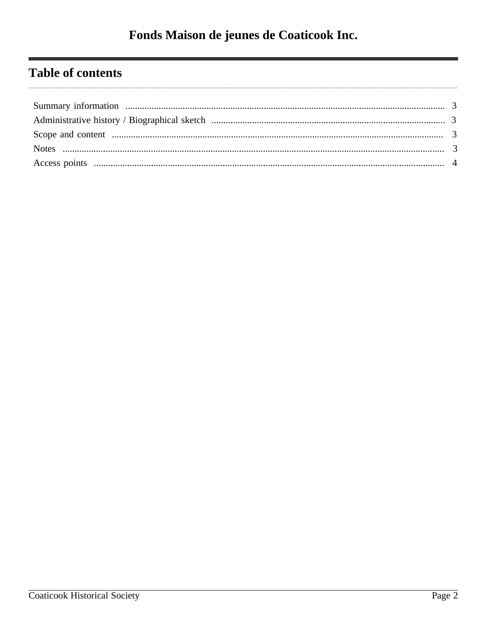# **Table of contents**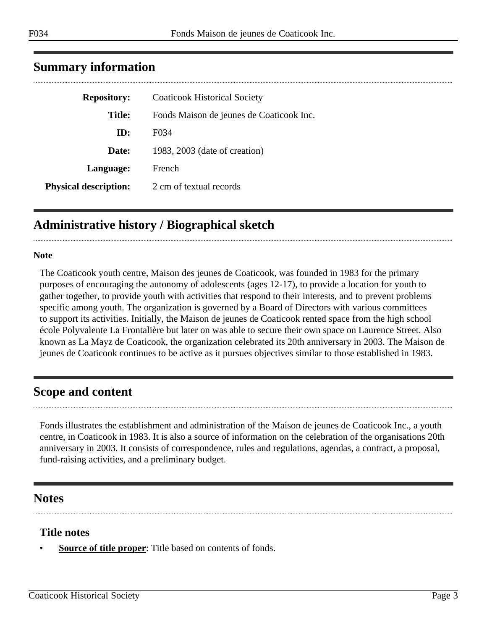| <b>Repository:</b>           | <b>Coaticook Historical Society</b>      |
|------------------------------|------------------------------------------|
| <b>Title:</b>                | Fonds Maison de jeunes de Coaticook Inc. |
| ID:                          | F034                                     |
| Date:                        | 1983, 2003 (date of creation)            |
| Language:                    | French                                   |
| <b>Physical description:</b> | 2 cm of textual records                  |
|                              |                                          |

## <span id="page-2-0"></span>**Summary information**

## <span id="page-2-1"></span>**Administrative history / Biographical sketch**

#### **Note**

The Coaticook youth centre, Maison des jeunes de Coaticook, was founded in 1983 for the primary purposes of encouraging the autonomy of adolescents (ages 12-17), to provide a location for youth to gather together, to provide youth with activities that respond to their interests, and to prevent problems specific among youth. The organization is governed by a Board of Directors with various committees to support its activities. Initially, the Maison de jeunes de Coaticook rented space from the high school école Polyvalente La Frontalière but later on was able to secure their own space on Laurence Street. Also known as La Mayz de Coaticook, the organization celebrated its 20th anniversary in 2003. The Maison de jeunes de Coaticook continues to be active as it pursues objectives similar to those established in 1983.

#### <span id="page-2-2"></span>**Scope and content**

Fonds illustrates the establishment and administration of the Maison de jeunes de Coaticook Inc., a youth centre, in Coaticook in 1983. It is also a source of information on the celebration of the organisations 20th anniversary in 2003. It consists of correspondence, rules and regulations, agendas, a contract, a proposal, fund-raising activities, and a preliminary budget.

#### <span id="page-2-3"></span>**Notes**

#### **Title notes**

**Source of title proper**: Title based on contents of fonds.